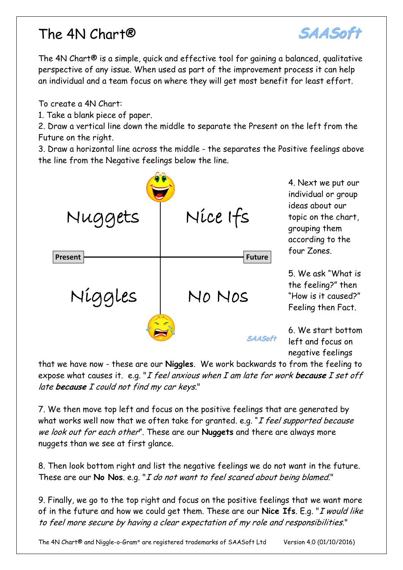The 4N Chart® is a simple, quick and effective tool for gaining a balanced, qualitative perspective of any issue. When used as part of the improvement process it can help an individual and a team focus on where they will get most benefit for least effort.

**SAASOFT** 

To create a 4N Chart:

1. Take a blank piece of paper.

2. Draw a vertical line down the middle to separate the Present on the left from the Future on the right.

3. Draw a horizontal line across the middle - the separates the Positive feelings above the line from the Negative feelings below the line.



that we have now - these are our **Niggles**. We work backwards to from the feeling to expose what causes it. e.g. "I feel anxious when I am late for work **because** I set off late **because** I could not find my car keys."

7. We then move top left and focus on the positive feelings that are generated by what works well now that we often take for granted. e.g. " $I$  feel supported because we look out for each other". These are our **Nuggets** and there are always more nuggets than we see at first glance.

8. Then look bottom right and list the negative feelings we do not want in the future. These are our **No Nos**. e.g. "I do not want to feel scared about being blamed."

9. Finally, we go to the top right and focus on the positive feelings that we want more of in the future and how we could get them. These are our **Nice Ifs**. E.g. "I would like to feel more secure by having a clear expectation of my role and responsibilities."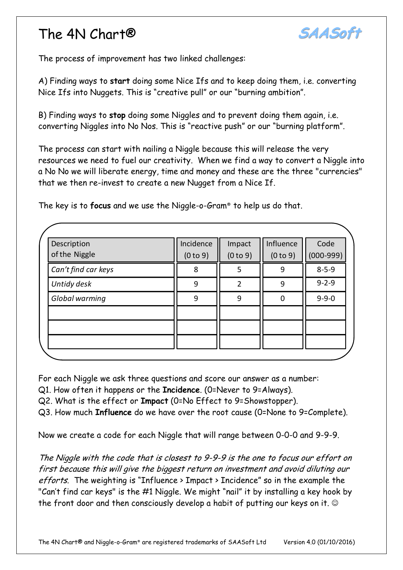

The process of improvement has two linked challenges:

A) Finding ways to **start** doing some Nice Ifs and to keep doing them, i.e. converting Nice Ifs into Nuggets. This is "creative pull" or our "burning ambition".

B) Finding ways to **stop** doing some Niggles and to prevent doing them again, i.e. converting Niggles into No Nos. This is "reactive push" or our "burning platform".

The process can start with nailing a Niggle because this will release the very resources we need to fuel our creativity. When we find a way to convert a Niggle into a No No we will liberate energy, time and money and these are the three "currencies" that we then re-invest to create a new Nugget from a Nice If.

| Description<br>of the Niggle | Incidence<br>(0 to 9) | Impact<br>(0 to 9) | Influence<br>(0 to 9) | Code<br>$(000-999)$ |
|------------------------------|-----------------------|--------------------|-----------------------|---------------------|
| Can't find car keys          | 8                     | 5                  | 9                     | $8 - 5 - 9$         |
| Untidy desk                  | 9                     | າ                  | 9                     | $9 - 2 - 9$         |
| Global warming               | 9                     | 9                  | $\overline{0}$        | $9 - 9 - 0$         |
|                              |                       |                    |                       |                     |
|                              |                       |                    |                       |                     |

The key is to **focus** and we use the Niggle-o-Gram® to help us do that.

For each Niggle we ask three questions and score our answer as a number:

- Q1. How often it happens or the **Incidence**. (0=Never to 9=Always).
- Q2. What is the effect or **Impact** (0=No Effect to 9=Showstopper).

Q3. How much **Influence** do we have over the root cause (0=None to 9=Complete).

Now we create a code for each Niggle that will range between 0-0-0 and 9-9-9.

The Niggle with the code that is closest to 9-9-9 is the one to focus our effort on first because this will give the biggest return on investment and avoid diluting our efforts. The weighting is "Influence  $\rightarrow$  Impact  $\rightarrow$  Incidence" so in the example the "Can't find car keys" is the #1 Niggle. We might "nail" it by installing a key hook by the front door and then consciously develop a habit of putting our keys on it.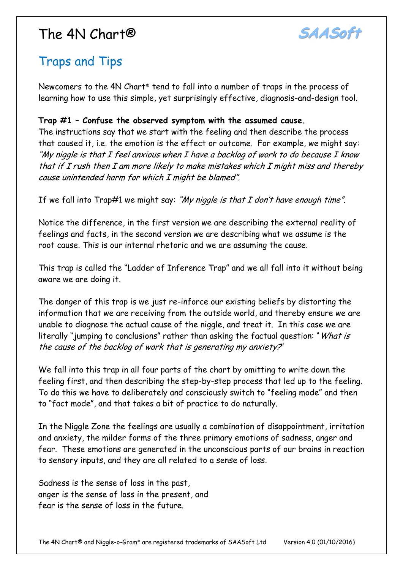

### Traps and Tips

Newcomers to the 4N Chart® tend to fall into a number of traps in the process of learning how to use this simple, yet surprisingly effective, diagnosis-and-design tool.

#### **Trap #1 – Confuse the observed symptom with the assumed cause.**

The instructions say that we start with the feeling and then describe the process that caused it, i.e. the emotion is the effect or outcome. For example, we might say: "My niggle is that I feel anxious when I have a backlog of work to do because I know that if I rush then I am more likely to make mistakes which I might miss and thereby cause unintended harm for which I might be blamed".

If we fall into  $T$ rap#1 we might say: "My niggle is that  $I$  don't have enough time".

Notice the difference, in the first version we are describing the external reality of feelings and facts, in the second version we are describing what we assume is the root cause. This is our internal rhetoric and we are assuming the cause.

This trap is called the "Ladder of Inference Trap" and we all fall into it without being aware we are doing it.

The danger of this trap is we just re-inforce our existing beliefs by distorting the information that we are receiving from the outside world, and thereby ensure we are unable to diagnose the actual cause of the niggle, and treat it. In this case we are literally "jumping to conclusions" rather than asking the factual question: "What is the cause of the backlog of work that is generating my anxiety?"

We fall into this trap in all four parts of the chart by omitting to write down the feeling first, and then describing the step-by-step process that led up to the feeling. To do this we have to deliberately and consciously switch to "feeling mode" and then to "fact mode", and that takes a bit of practice to do naturally.

In the Niggle Zone the feelings are usually a combination of disappointment, irritation and anxiety, the milder forms of the three primary emotions of sadness, anger and fear. These emotions are generated in the unconscious parts of our brains in reaction to sensory inputs, and they are all related to a sense of loss.

Sadness is the sense of loss in the past, anger is the sense of loss in the present, and fear is the sense of loss in the future.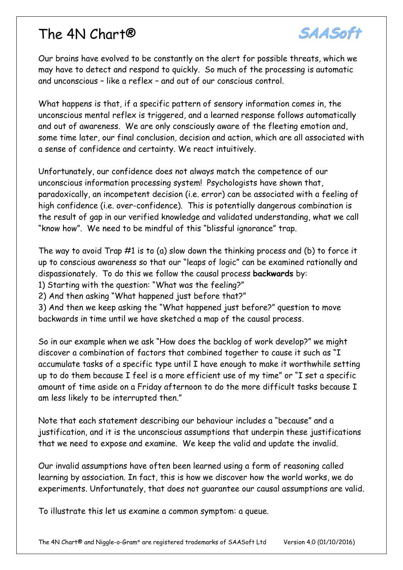

Our brains have evolved to be constantly on the alert for possible threats, which we may have to detect and respond to quickly. So much of the processing is automatic and unconscious – like a reflex – and out of our conscious control.

What happens is that, if a specific pattern of sensory information comes in, the unconscious mental reflex is triggered, and a learned response follows automatically and out of awareness. We are only consciously aware of the fleeting emotion and, some time later, our final conclusion, decision and action, which are all associated with a sense of confidence and certainty. We react intuitively.

Unfortunately, our confidence does not always match the competence of our unconscious information processing system! Psychologists have shown that, paradoxically, an incompetent decision (i.e. error) can be associated with a feeling of high confidence (i.e. over-confidence). This is potentially dangerous combination is the result of gap in our verified knowledge and validated understanding, what we call "know how". We need to be mindful of this "blissful ignorance" trap.

The way to avoid Trap #1 is to (a) slow down the thinking process and (b) to force it up to conscious awareness so that our "leaps of logic" can be examined rationally and dispassionately. To do this we follow the causal process **backwards** by:

1) Starting with the question: "What was the feeling?"

2) And then asking "What happened just before that?"

3) And then we keep asking the "What happened just before?" question to move backwards in time until we have sketched a map of the causal process.

So in our example when we ask "How does the backlog of work develop?" we might discover a combination of factors that combined together to cause it such as "I accumulate tasks of a specific type until I have enough to make it worthwhile setting up to do them because I feel is a more efficient use of my time" or "I set a specific amount of time aside on a Friday afternoon to do the more difficult tasks because I am less likely to be interrupted then."

Note that each statement describing our behaviour includes a "because" and a justification, and it is the unconscious assumptions that underpin these justifications that we need to expose and examine. We keep the valid and update the invalid.

Our invalid assumptions have often been learned using a form of reasoning called learning by association. In fact, this is how we discover how the world works, we do experiments. Unfortunately, that does not guarantee our causal assumptions are valid.

To illustrate this let us examine a common symptom: a queue.